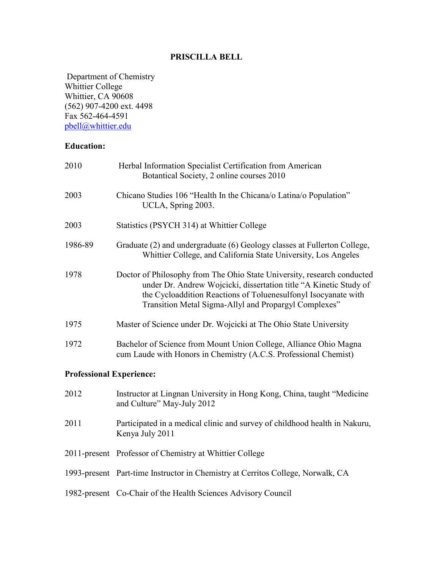## **PRISCILLA BELL**

Department of Chemistry Whittier College Whittier, CA 90608 (562) 907-4200 ext. 4498 Fax 562-464-4591 <pbell@whittier.edu>

### **Education:**

| 2010                            | Herbal Information Specialist Certification from American<br>Botantical Society, 2 online courses 2010                                                                                                                                                                  |  |
|---------------------------------|-------------------------------------------------------------------------------------------------------------------------------------------------------------------------------------------------------------------------------------------------------------------------|--|
| 2003                            | Chicano Studies 106 "Health In the Chicana/o Latina/o Population"<br>UCLA, Spring 2003.                                                                                                                                                                                 |  |
| 2003                            | Statistics (PSYCH 314) at Whittier College                                                                                                                                                                                                                              |  |
| 1986-89                         | Graduate (2) and undergraduate (6) Geology classes at Fullerton College,<br>Whittier College, and California State University, Los Angeles                                                                                                                              |  |
| 1978                            | Doctor of Philosophy from The Ohio State University, research conducted<br>under Dr. Andrew Wojcicki, dissertation title "A Kinetic Study of<br>the Cycloaddition Reactions of Toluenesulfonyl Isocyanate with<br>Transition Metal Sigma-Allyl and Propargyl Complexes" |  |
| 1975                            | Master of Science under Dr. Wojcicki at The Ohio State University                                                                                                                                                                                                       |  |
| 1972                            | Bachelor of Science from Mount Union College, Alliance Ohio Magna<br>cum Laude with Honors in Chemistry (A.C.S. Professional Chemist)                                                                                                                                   |  |
| <b>Professional Experience:</b> |                                                                                                                                                                                                                                                                         |  |
| 2012                            | Instructor at Lingnan University in Hong Kong, China, taught "Medicine<br>and Culture" May-July 2012                                                                                                                                                                    |  |
| 2011                            | Participated in a medical clinic and survey of childhood health in Nakuru,<br>Kenya July 2011                                                                                                                                                                           |  |
|                                 | 2011-present Professor of Chemistry at Whittier College                                                                                                                                                                                                                 |  |
|                                 | 1993-present Part-time Instructor in Chemistry at Cerritos College, Norwalk, CA                                                                                                                                                                                         |  |
|                                 | 1982-present Co-Chair of the Health Sciences Advisory Council                                                                                                                                                                                                           |  |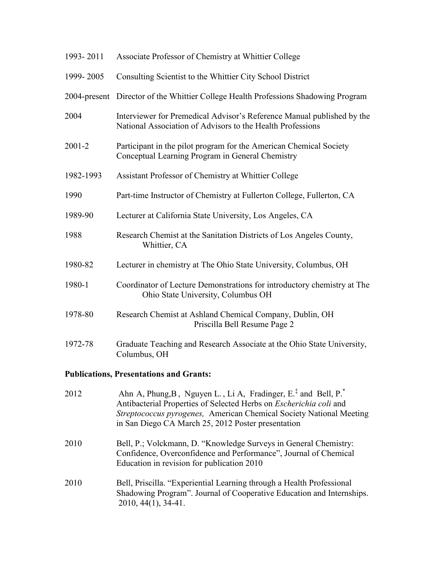| 1993-2011 | Associate Professor of Chemistry at Whittier College                                                                                 |  |
|-----------|--------------------------------------------------------------------------------------------------------------------------------------|--|
| 1999-2005 | Consulting Scientist to the Whittier City School District                                                                            |  |
|           | 2004-present Director of the Whittier College Health Professions Shadowing Program                                                   |  |
| 2004      | Interviewer for Premedical Advisor's Reference Manual published by the<br>National Association of Advisors to the Health Professions |  |
| 2001-2    | Participant in the pilot program for the American Chemical Society<br>Conceptual Learning Program in General Chemistry               |  |
| 1982-1993 | Assistant Professor of Chemistry at Whittier College                                                                                 |  |
| 1990      | Part-time Instructor of Chemistry at Fullerton College, Fullerton, CA                                                                |  |
| 1989-90   | Lecturer at California State University, Los Angeles, CA                                                                             |  |
| 1988      | Research Chemist at the Sanitation Districts of Los Angeles County,<br>Whittier, CA                                                  |  |
| 1980-82   | Lecturer in chemistry at The Ohio State University, Columbus, OH                                                                     |  |
| 1980-1    | Coordinator of Lecture Demonstrations for introductory chemistry at The<br>Ohio State University, Columbus OH                        |  |
| 1978-80   | Research Chemist at Ashland Chemical Company, Dublin, OH<br>Priscilla Bell Resume Page 2                                             |  |
| 1972-78   | Graduate Teaching and Research Associate at the Ohio State University,<br>Columbus, OH                                               |  |

# **Publications, Presentations and Grants:**

| 2012 | Ahn A, Phung, B, Nguyen L., Li A, Fradinger, E. <sup>‡</sup> and Bell, P. <sup>*</sup><br>Antibacterial Properties of Selected Herbs on Escherichia coli and<br><i>Streptococcus pyrogenes, American Chemical Society National Meeting</i><br>in San Diego CA March 25, 2012 Poster presentation |
|------|--------------------------------------------------------------------------------------------------------------------------------------------------------------------------------------------------------------------------------------------------------------------------------------------------|
| 2010 | Bell, P.; Volckmann, D. "Knowledge Surveys in General Chemistry:<br>Confidence, Overconfidence and Performance", Journal of Chemical<br>Education in revision for publication 2010                                                                                                               |
| 2010 | Bell, Priscilla. "Experiential Learning through a Health Professional<br>Shadowing Program". Journal of Cooperative Education and Internships.<br>$2010, 44(1), 34-41.$                                                                                                                          |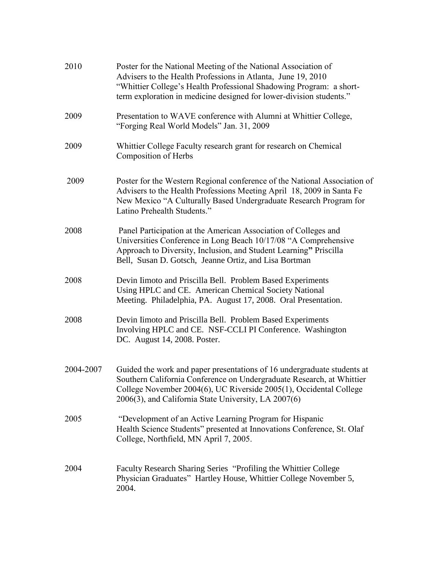| 2010      | Poster for the National Meeting of the National Association of<br>Advisers to the Health Professions in Atlanta, June 19, 2010<br>"Whittier College's Health Professional Shadowing Program: a short-<br>term exploration in medicine designed for lower-division students."   |
|-----------|--------------------------------------------------------------------------------------------------------------------------------------------------------------------------------------------------------------------------------------------------------------------------------|
| 2009      | Presentation to WAVE conference with Alumni at Whittier College,<br>"Forging Real World Models" Jan. 31, 2009                                                                                                                                                                  |
| 2009      | Whittier College Faculty research grant for research on Chemical<br>Composition of Herbs                                                                                                                                                                                       |
| 2009      | Poster for the Western Regional conference of the National Association of<br>Advisers to the Health Professions Meeting April 18, 2009 in Santa Fe<br>New Mexico "A Culturally Based Undergraduate Research Program for<br>Latino Prehealth Students."                         |
| 2008      | Panel Participation at the American Association of Colleges and<br>Universities Conference in Long Beach 10/17/08 "A Comprehensive<br>Approach to Diversity, Inclusion, and Student Learning" Priscilla<br>Bell, Susan D. Gotsch, Jeanne Ortiz, and Lisa Bortman               |
| 2008      | Devin Iimoto and Priscilla Bell. Problem Based Experiments<br>Using HPLC and CE. American Chemical Society National<br>Meeting. Philadelphia, PA. August 17, 2008. Oral Presentation.                                                                                          |
| 2008      | Devin Iimoto and Priscilla Bell. Problem Based Experiments<br>Involving HPLC and CE. NSF-CCLI PI Conference. Washington<br>DC. August 14, 2008. Poster.                                                                                                                        |
| 2004-2007 | Guided the work and paper presentations of 16 undergraduate students at<br>Southern California Conference on Undergraduate Research, at Whittier<br>College November 2004(6), UC Riverside 2005(1), Occidental College<br>2006(3), and California State University, LA 2007(6) |
| 2005      | "Development of an Active Learning Program for Hispanic<br>Health Science Students" presented at Innovations Conference, St. Olaf<br>College, Northfield, MN April 7, 2005.                                                                                                    |
| 2004      | Faculty Research Sharing Series "Profiling the Whittier College<br>Physician Graduates" Hartley House, Whittier College November 5,<br>2004.                                                                                                                                   |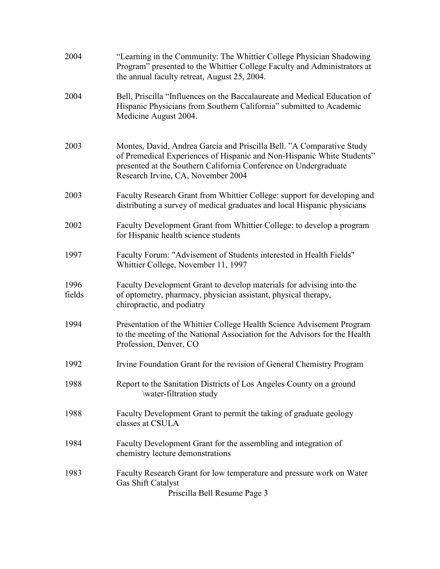| 2004           | "Learning in the Community: The Whittier College Physician Shadowing<br>Program" presented to the Whittier College Faculty and Administrators at<br>the annual faculty retreat, August 25, 2004.                                                          |
|----------------|-----------------------------------------------------------------------------------------------------------------------------------------------------------------------------------------------------------------------------------------------------------|
| 2004           | Bell, Priscilla "Influences on the Baccalaureate and Medical Education of<br>Hispanic Physicians from Southern California" submitted to Academic<br>Medicine August 2004.                                                                                 |
| 2003           | Montes, David, Andrea Garcia and Priscilla Bell. "A Comparative Study<br>of Premedical Experiences of Hispanic and Non-Hispanic White Students"<br>presented at the Southern California Conference on Undergraduate<br>Research Irvine, CA, November 2004 |
| 2003           | Faculty Research Grant from Whittier College: support for developing and<br>distributing a survey of medical graduates and local Hispanic physicians                                                                                                      |
| 2002           | Faculty Development Grant from Whittier College: to develop a program<br>for Hispanic health science students                                                                                                                                             |
| 1997           | Faculty Forum: "Advisement of Students interested in Health Fields"<br>Whittier College, November 11, 1997                                                                                                                                                |
| 1996<br>fields | Faculty Development Grant to develop materials for advising into the<br>of optometry, pharmacy, physician assistant, physical therapy,<br>chiropractic, and podiatry                                                                                      |
| 1994           | Presentation of the Whittier College Health Science Advisement Program<br>to the meeting of the National Association for the Advisors for the Health<br>Profession, Denver, CO                                                                            |
| 1992           | Irvine Foundation Grant for the revision of General Chemistry Program                                                                                                                                                                                     |
| 1988           | Report to the Sanitation Districts of Los Angeles County on a ground<br>\water-filtration study                                                                                                                                                           |
| 1988           | Faculty Development Grant to permit the taking of graduate geology<br>classes at CSULA                                                                                                                                                                    |
| 1984           | Faculty Development Grant for the assembling and integration of<br>chemistry lecture demonstrations                                                                                                                                                       |
| 1983           | Faculty Research Grant for low temperature and pressure work on Water<br>Gas Shift Catalyst<br>Priscilla Bell Resume Page 3                                                                                                                               |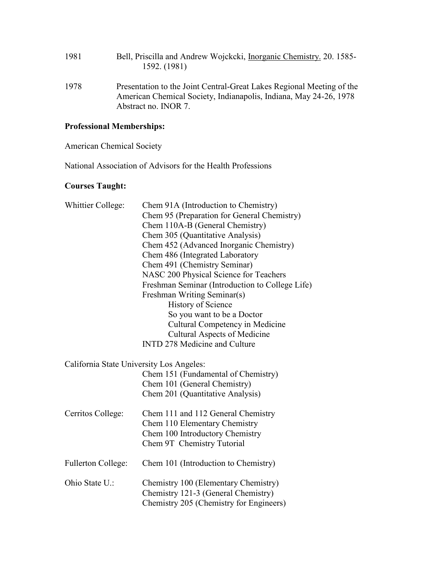| 1981 | Bell, Priscilla and Andrew Wojckcki, <i>Inorganic Chemistry</i> . 20. 1585- |
|------|-----------------------------------------------------------------------------|
|      | 1592. (1981)                                                                |

1978 Presentation to the Joint Central-Great Lakes Regional Meeting of the American Chemical Society, Indianapolis, Indiana, May 24-26, 1978 Abstract no. INOR 7.

### **Professional Memberships:**

American Chemical Society

National Association of Advisors for the Health Professions

#### **Courses Taught:**

| Whittier College:                        | Chem 91A (Introduction to Chemistry)<br>Chem 95 (Preparation for General Chemistry)<br>Chem 110A-B (General Chemistry)<br>Chem 305 (Quantitative Analysis)<br>Chem 452 (Advanced Inorganic Chemistry)<br>Chem 486 (Integrated Laboratory<br>Chem 491 (Chemistry Seminar)<br>NASC 200 Physical Science for Teachers<br>Freshman Seminar (Introduction to College Life)<br>Freshman Writing Seminar(s)<br><b>History of Science</b><br>So you want to be a Doctor<br>Cultural Competency in Medicine<br><b>Cultural Aspects of Medicine</b><br><b>INTD 278 Medicine and Culture</b> |
|------------------------------------------|-----------------------------------------------------------------------------------------------------------------------------------------------------------------------------------------------------------------------------------------------------------------------------------------------------------------------------------------------------------------------------------------------------------------------------------------------------------------------------------------------------------------------------------------------------------------------------------|
| California State University Los Angeles: | Chem 151 (Fundamental of Chemistry)<br>Chem 101 (General Chemistry)<br>Chem 201 (Quantitative Analysis)                                                                                                                                                                                                                                                                                                                                                                                                                                                                           |
| Cerritos College:                        | Chem 111 and 112 General Chemistry<br>Chem 110 Elementary Chemistry<br>Chem 100 Introductory Chemistry<br>Chem 9T Chemistry Tutorial                                                                                                                                                                                                                                                                                                                                                                                                                                              |
| <b>Fullerton College:</b>                | Chem 101 (Introduction to Chemistry)                                                                                                                                                                                                                                                                                                                                                                                                                                                                                                                                              |
| Ohio State U.:                           | Chemistry 100 (Elementary Chemistry)<br>Chemistry 121-3 (General Chemistry)<br>Chemistry 205 (Chemistry for Engineers)                                                                                                                                                                                                                                                                                                                                                                                                                                                            |